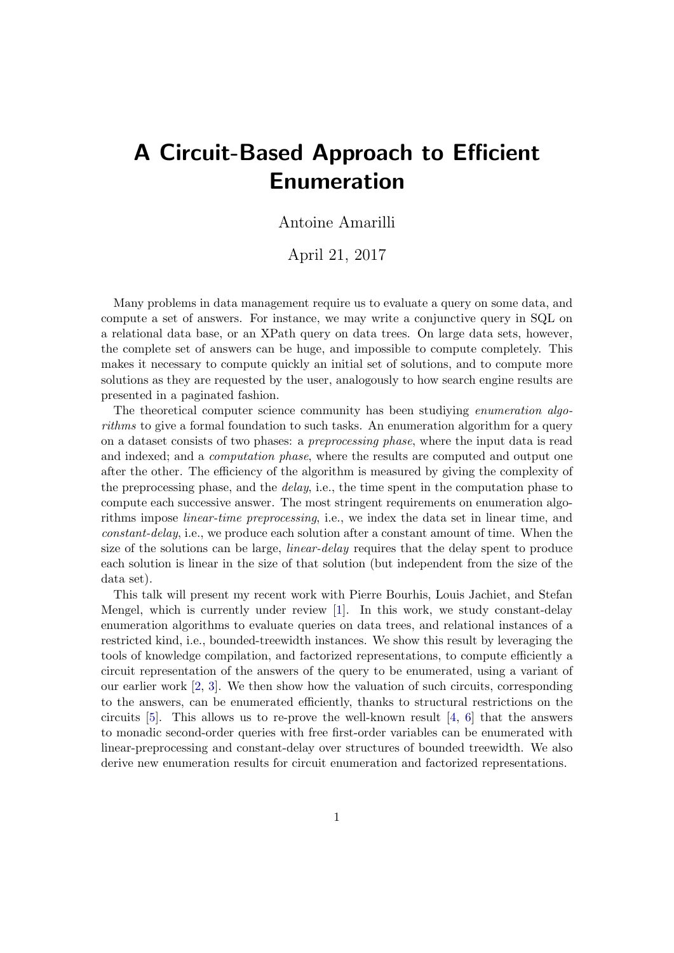## A Circuit-Based Approach to Efficient Enumeration

## Antoine Amarilli

## April 21, 2017

Many problems in data management require us to evaluate a query on some data, and compute a set of answers. For instance, we may write a conjunctive query in SQL on a relational data base, or an XPath query on data trees. On large data sets, however, the complete set of answers can be huge, and impossible to compute completely. This makes it necessary to compute quickly an initial set of solutions, and to compute more solutions as they are requested by the user, analogously to how search engine results are presented in a paginated fashion.

The theoretical computer science community has been studiying enumeration algorithms to give a formal foundation to such tasks. An enumeration algorithm for a query on a dataset consists of two phases: a preprocessing phase, where the input data is read and indexed; and a computation phase, where the results are computed and output one after the other. The efficiency of the algorithm is measured by giving the complexity of the preprocessing phase, and the *delay*, i.e., the time spent in the computation phase to compute each successive answer. The most stringent requirements on enumeration algorithms impose linear-time preprocessing, i.e., we index the data set in linear time, and constant-delay, i.e., we produce each solution after a constant amount of time. When the size of the solutions can be large, *linear-delay* requires that the delay spent to produce each solution is linear in the size of that solution (but independent from the size of the data set).

This talk will present my recent work with Pierre Bourhis, Louis Jachiet, and Stefan Mengel, which is currently under review [\[1\]](#page-1-0). In this work, we study constant-delay enumeration algorithms to evaluate queries on data trees, and relational instances of a restricted kind, i.e., bounded-treewidth instances. We show this result by leveraging the tools of knowledge compilation, and factorized representations, to compute efficiently a circuit representation of the answers of the query to be enumerated, using a variant of our earlier work [\[2,](#page-1-1) [3\]](#page-1-2). We then show how the valuation of such circuits, corresponding to the answers, can be enumerated efficiently, thanks to structural restrictions on the circuits [\[5\]](#page-1-3). This allows us to re-prove the well-known result [\[4,](#page-1-4) [6\]](#page-1-5) that the answers to monadic second-order queries with free first-order variables can be enumerated with linear-preprocessing and constant-delay over structures of bounded treewidth. We also derive new enumeration results for circuit enumeration and factorized representations.